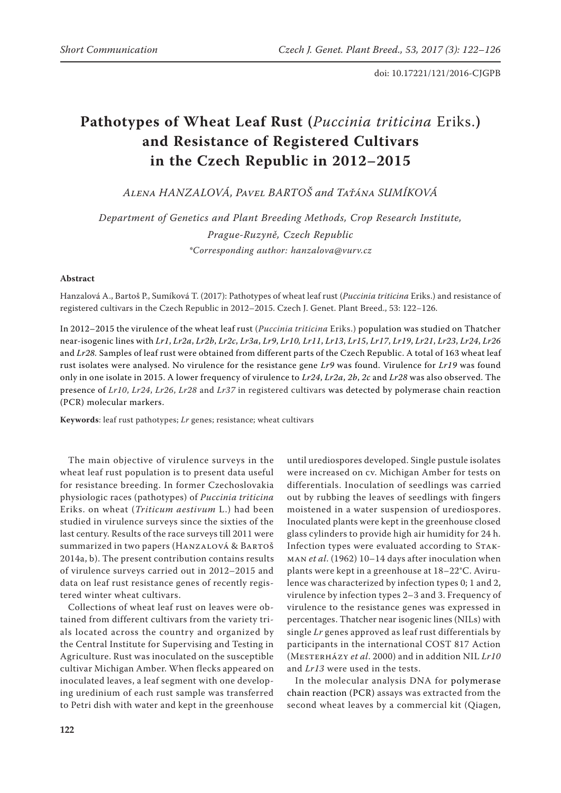# **Pathotypes of Wheat Leaf Rust (***Puccinia triticina* Eriks.**) and Resistance of Registered Cultivars in the Czech Republic in 2012–2015**

*Alena HANZALOVÁ, Pavel BARTOŠ and Taťána SUMÍKOVÁ*

*Department of Genetics and Plant Breeding Methods, Crop Research Institute, Prague-Ruzyně, Czech Republic \*Corresponding author: hanzalova@vurv.cz*

## **Abstract**

Hanzalová A., Bartoš P., Sumíková T. (2017): Pathotypes of wheat leaf rust (*Puccinia triticina* Eriks.) and resistance of registered cultivars in the Czech Republic in 2012–2015. Czech J. Genet. Plant Breed., 53: 122−126.

In 2012–2015 the virulence of the wheat leaf rust (*Puccinia triticina* Eriks.) population was studied on Thatcher near-isogenic lines with Lr1, Lr2a, Lr2b, Lr2c, Lr3a, Lr9, Lr10, Lr11, Lr13, Lr15, Lr17, Lr19, Lr21, Lr23, Lr24, Lr26 and *Lr28.* Samples of leaf rust were obtained from different parts of the Czech Republic. A total of 163 wheat leaf rust isolates were analysed. No virulence for the resistance gene *Lr9* was found. Virulence for *Lr19* was found only in one isolate in 2015. A lower frequency of virulence to *Lr24*, *Lr2a*, *2b*, *2c* and *Lr28* was also observed. The presence of *Lr10*, *Lr24*, *Lr26*, *Lr28* and *Lr37* in registered cultivars was detected by polymerase chain reaction (PCR) molecular markers.

**Keywords**: leaf rust pathotypes; *Lr* genes; resistance; wheat cultivars

The main objective of virulence surveys in the wheat leaf rust population is to present data useful for resistance breeding. In former Czechoslovakia physiologic races (pathotypes) of *Puccinia triticina* Eriks. on wheat (*Triticum aestivum* L.) had been studied in virulence surveys since the sixties of the last century. Results of the race surveys till 2011 were summarized in two papers (Hanzalová & Bartoš 2014a, b). The present contribution contains results of virulence surveys carried out in 2012–2015 and data on leaf rust resistance genes of recently registered winter wheat cultivars.

Collections of wheat leaf rust on leaves were obtained from different cultivars from the variety trials located across the country and organized by the Central Institute for Supervising and Testing in Agriculture. Rust was inoculated on the susceptible cultivar Michigan Amber. When flecks appeared on inoculated leaves, a leaf segment with one developing uredinium of each rust sample was transferred to Petri dish with water and kept in the greenhouse

until urediospores developed. Single pustule isolates were increased on cv. Michigan Amber for tests on differentials. Inoculation of seedlings was carried out by rubbing the leaves of seedlings with fingers moistened in a water suspension of urediospores. Inoculated plants were kept in the greenhouse closed glass cylinders to provide high air humidity for 24 h. Infection types were evaluated according to STAKman *et al*. (1962) 10–14 days after inoculation when plants were kept in a greenhouse at 18–22°C. Avirulence was characterized by infection types 0; 1 and 2, virulence by infection types 2–3 and 3. Frequency of virulence to the resistance genes was expressed in percentages. Thatcher near isogenic lines (NILs) with single *Lr* genes approved as leaf rust differentials by participants in the international COST 817 Action (Mesterházy *et al*. 2000) and in addition NIL *Lr10* and *Lr13* were used in the tests.

In the molecular analysis DNA for polymerase chain reaction (PCR) assays was extracted from the second wheat leaves by a commercial kit (Qiagen,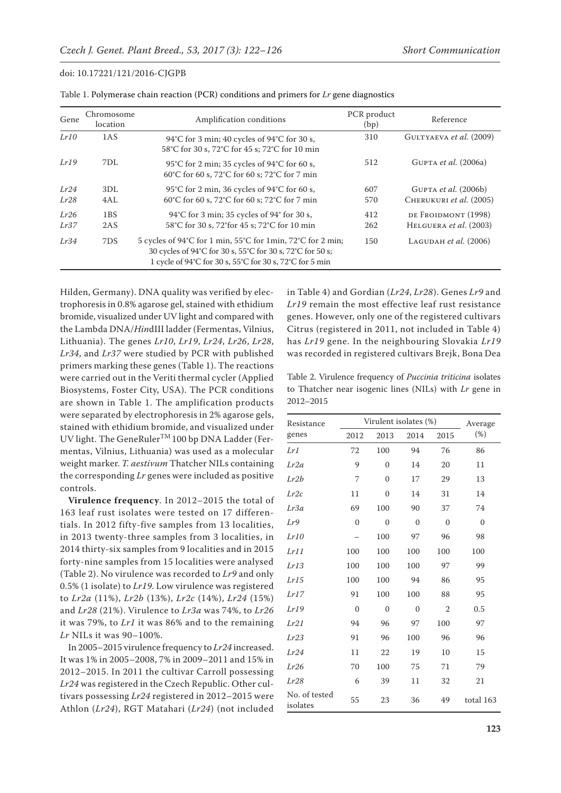| Gene         | Chromosome<br>location | Amplification conditions                                                                                                                                                                                          | PCR product<br>(bp) | Reference                                       |  |
|--------------|------------------------|-------------------------------------------------------------------------------------------------------------------------------------------------------------------------------------------------------------------|---------------------|-------------------------------------------------|--|
| Lr10         | 1AS                    | 94°C for 3 min; 40 cycles of 94°C for 30 s,<br>58°C for 30 s, 72°C for 45 s; 72°C for 10 min                                                                                                                      | 310                 | GULTYAEVA et al. (2009)                         |  |
| Lr19         | 7DL                    | 95°C for 2 min; 35 cycles of 94°C for 60 s,<br>60°C for 60 s, 72°C for 60 s; 72°C for 7 min                                                                                                                       | 512                 | GUPTA et al. (2006a)                            |  |
| Lr24<br>Lr28 | 3DI.<br>4AI.           | 95°C for 2 min, 36 cycles of 94°C for 60 s,<br>60°C for 60 s, 72°C for 60 s; 72°C for 7 min                                                                                                                       | 607<br>570          | GUPTA et al. (2006b)<br>CHERUKURI et al. (2005) |  |
| Lr26<br>Lr37 | 1 <sub>BS</sub><br>2AS | 94°C for 3 min; 35 cycles of 94° for 30 s,<br>58°C for 30 s, 72°for 45 s; 72°C for 10 min                                                                                                                         | 412<br>262          | DE FROIDMONT (1998)<br>HELGUERA et al. (2003)   |  |
| Lr34         | 7DS                    | 5 cycles of 94 $\degree$ C for 1 min, 55 $\degree$ C for 1 min, 72 $\degree$ C for 2 min;<br>30 cycles of 94°C for 30 s, 55°C for 30 s, 72°C for 50 s;<br>1 cycle of 94°C for 30 s, 55°C for 30 s, 72°C for 5 min | 150                 | LAGUDAH <i>et al.</i> $(2006)$                  |  |

| Table 1. Polymerase chain reaction (PCR) conditions and primers for Lr gene diagnostics |  |  |  |  |
|-----------------------------------------------------------------------------------------|--|--|--|--|
|-----------------------------------------------------------------------------------------|--|--|--|--|

Hilden, Germany). DNA quality was verified by electrophoresis in 0.8% agarose gel, stained with ethidium bromide, visualized under UV light and compared with the Lambda DNA/*Hin*dIII ladder (Fermentas, Vilnius, Lithuania). The genes *Lr10*, *Lr19*, *Lr24*, *Lr26*, *Lr28*, *Lr34*, and *Lr37* were studied by PCR with published primers marking these genes (Table 1). The reactions were carried out in the Veriti thermal cycler (Applied Biosystems, Foster City, USA). The PCR conditions are shown in Table 1. The amplification products were separated by electrophoresis in 2% agarose gels, stained with ethidium bromide, and visualized under UV light. The GeneRuler<sup>TM</sup> 100 bp DNA Ladder (Fermentas, Vilnius, Lithuania) was used as a molecular weight marker. *T. aestivum* Thatcher NILs containing the corresponding *Lr* genes were included as positive controls.

**Virulence frequency**. In 2012–2015 the total of 163 leaf rust isolates were tested on 17 differentials. In 2012 fifty-five samples from 13 localities, in 2013 twenty-three samples from 3 localities, in 2014 thirty-six samples from 9 localities and in 2015 forty-nine samples from 15 localities were analysed (Table 2). No virulence was recorded to *Lr9* and only 0.5% (1 isolate) to *Lr19*. Low virulence was registered to *Lr2a* (11%), *Lr2b* (13%), *Lr2c* (14%), *Lr24* (15%) and *Lr28* (21%). Virulence to *Lr3a* was 74%, to *Lr26* it was 79%, to *Lr1* it was 86% and to the remaining *Lr* NILs it was 90–100%.

In 2005–2015 virulence frequency to *Lr24* increased. It was 1% in 2005–2008, 7% in 2009–2011 and 15% in 2012–2015. In 2011 the cultivar Carroll possessing *Lr24* was registered in the Czech Republic. Other cultivars possessing *Lr24* registered in 2012–2015 were Athlon (*Lr24*), RGT Matahari (*Lr24*) (not included

in Table 4) and Gordian (*Lr24*, *Lr28*). Genes *Lr9* and *Lr19* remain the most effective leaf rust resistance genes. However, only one of the registered cultivars Citrus (registered in 2011, not included in Table 4) has *Lr19* gene. In the neighbouring Slovakia *Lr19* was recorded in registered cultivars Brejk, Bona Dea

Table 2. Virulence frequency of *Puccinia triticina* isolates to Thatcher near isogenic lines (NILs) with *Lr* gene in 2012–2015

| Resistance                | Virulent isolates (%) | Average  |              |                |                |
|---------------------------|-----------------------|----------|--------------|----------------|----------------|
| genes                     | 2012                  | 2013     | 2015         | (%)            |                |
| Lr 1                      | 72                    | 100      | 94           | 76             | 86             |
| Lr2a                      | 9                     | $\Omega$ | 14           | 20             | 11             |
| Lr2b                      | 7                     | $\Omega$ | 17           | 29             | 13             |
| Lr2c                      | 11                    | $\Omega$ | 14<br>31     |                | 14             |
| Lr3a                      | 69                    | 100      | 90<br>37     |                | 74             |
| Lr9                       | $\mathbf{0}$          | $\Omega$ | $\mathbf{0}$ | $\overline{0}$ | $\overline{0}$ |
| Lr10                      |                       | 100      | 97           | 96             | 98             |
| Lr11                      | 100                   | 100      | 100          | 100            | 100            |
| Lr13                      | 100                   | 100      | 100          | 97             | 99             |
| Lr15                      | 100                   | 100      | 94           | 86             | 95             |
| Lr17                      | 91                    | 100      | 100          | 88             | 95             |
| Lr19                      | $\Omega$              | $\Omega$ | $\mathbf{0}$ | $\overline{2}$ | 0.5            |
| Lr21                      | 94                    | 96       | 97           | 100            | 97             |
| Lr23                      | 91                    | 96       | 100          | 96             | 96             |
| Lr24                      | 11                    | 22       | 19           | 10             | 15             |
| Lr26<br>70                |                       | 100      | 75<br>71     |                | 79             |
| Lr28                      | 6                     | 39       | 11           | 32             | 21             |
| No. of tested<br>isolates | 55                    | 23       | 36           | 49             | total 163      |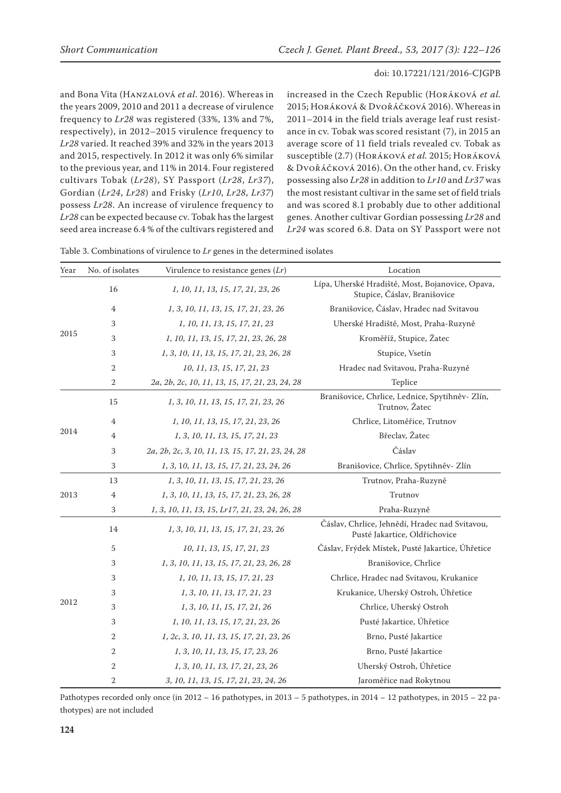and Bona Vita (Hanzalová *et al*. 2016). Whereas in the years 2009, 2010 and 2011 a decrease of virulence frequency to *Lr28* was registered (33%, 13% and 7%, respectively), in 2012–2015 virulence frequency to *Lr28* varied. It reached 39% and 32% in the years 2013 and 2015, respectively. In 2012 it was only 6% similar to the previous year, and 11% in 2014. Four registered cultivars Tobak (*Lr28*), SY Passport (*Lr28*, *Lr37*), Gordian (*Lr24*, *Lr28*) and Frisky (*Lr10*, *Lr28*, *Lr37*) possess *Lr28*. An increase of virulence frequency to *Lr28* can be expected because cv. Tobak has the largest seed area increase 6.4 % of the cultivars registered and increased in the Czech Republic (Horáková *et al.* 2015; Horáková & Dvořáčková 2016). Whereas in 2011–2014 in the field trials average leaf rust resistance in cv. Tobak was scored resistant (7), in 2015 an average score of 11 field trials revealed cv. Tobak as susceptible (2.7) (Horáková *et al.* 2015; Horáková & Dvořáčková 2016). On the other hand, cv. Frisky possessing also *Lr28* in addition to *Lr10* and *Lr37* was the most resistant cultivar in the same set of field trials and was scored 8.1 probably due to other additional genes. Another cultivar Gordian possessing *Lr28* and *Lr24* was scored 6.8. Data on SY Passport were not

| Table 3. Combinations of virulence to $Lr$ genes in the determined isolates |  |
|-----------------------------------------------------------------------------|--|
|-----------------------------------------------------------------------------|--|

| Year | No. of isolates  | Virulence to resistance genes $(Lr)$              | Location                                                                         |  |  |  |
|------|------------------|---------------------------------------------------|----------------------------------------------------------------------------------|--|--|--|
|      | 16               | 1, 10, 11, 13, 15, 17, 21, 23, 26                 | Lípa, Uherské Hradiště, Most, Bojanovice, Opava,<br>Stupice, Čáslav, Branišovice |  |  |  |
|      | 4                | 1, 3, 10, 11, 13, 15, 17, 21, 23, 26              | Branišovice, Čáslav, Hradec nad Svitavou                                         |  |  |  |
|      | 3                | 1, 10, 11, 13, 15, 17, 21, 23                     | Uherské Hradiště, Most, Praha-Ruzyně                                             |  |  |  |
| 2015 | 3                | 1, 10, 11, 13, 15, 17, 21, 23, 26, 28             | Kroměříž, Stupice, Žatec                                                         |  |  |  |
|      | $\sqrt{3}$       | 1, 3, 10, 11, 13, 15, 17, 21, 23, 26, 28          | Stupice, Vsetín                                                                  |  |  |  |
|      | $\overline{2}$   | 10, 11, 13, 15, 17, 21, 23                        | Hradec nad Svitavou, Praha-Ruzyně                                                |  |  |  |
|      | $\sqrt{2}$       | 2a, 2b, 2c, 10, 11, 13, 15, 17, 21, 23, 24, 28    | Teplice                                                                          |  |  |  |
|      | 15               | 1, 3, 10, 11, 13, 15, 17, 21, 23, 26              | Branišovice, Chrlice, Lednice, Spytihněv- Zlín,<br>Trutnov, Žatec                |  |  |  |
|      | 4                | 1, 10, 11, 13, 15, 17, 21, 23, 26                 | Chrlice, Litoměřice, Trutnov                                                     |  |  |  |
| 2014 | 4                | 1, 3, 10, 11, 13, 15, 17, 21, 23                  | Břeclav, Žatec                                                                   |  |  |  |
|      | 3                | 2a, 2b, 2c, 3, 10, 11, 13, 15, 17, 21, 23, 24, 28 | Čáslav                                                                           |  |  |  |
|      | $\sqrt{3}$       | 1, 3, 10, 11, 13, 15, 17, 21, 23, 24, 26          | Branišovice, Chrlice, Spytihněv- Zlín                                            |  |  |  |
|      | 13               | 1, 3, 10, 11, 13, 15, 17, 21, 23, 26              | Trutnov, Praha-Ruzyně                                                            |  |  |  |
| 2013 | 4                | 1, 3, 10, 11, 13, 15, 17, 21, 23, 26, 28          | Trutnov                                                                          |  |  |  |
|      | 3                | 1, 3, 10, 11, 13, 15, Lr17, 21, 23, 24, 26, 28    | Praha-Ruzyně                                                                     |  |  |  |
|      | 14               | 1, 3, 10, 11, 13, 15, 17, 21, 23, 26              | Čáslav, Chrlice, Jehnědí, Hradec nad Svitavou,<br>Pusté Jakartice, Oldřichovice  |  |  |  |
|      | 5                | 10, 11, 13, 15, 17, 21, 23                        | Čáslav, Frýdek Místek, Pusté Jakartice, Úhřetice                                 |  |  |  |
|      | 3                | 1, 3, 10, 11, 13, 15, 17, 21, 23, 26, 28          | Branišovice, Chrlice                                                             |  |  |  |
|      | 3                | 1, 10, 11, 13, 15, 17, 21, 23                     | Chrlice, Hradec nad Svitavou, Krukanice                                          |  |  |  |
|      | 3                | 1, 3, 10, 11, 13, 17, 21, 23                      | Krukanice, Uherský Ostroh, Úhřetice                                              |  |  |  |
| 2012 | 3                | 1, 3, 10, 11, 15, 17, 21, 26                      | Chrlice, Uherský Ostroh                                                          |  |  |  |
|      | 3                | 1, 10, 11, 13, 15, 17, 21, 23, 26                 | Pusté Jakartice, Úhřetice                                                        |  |  |  |
|      | 2                | 1, 2c, 3, 10, 11, 13, 15, 17, 21, 23, 26          | Brno, Pusté Jakartice                                                            |  |  |  |
|      | $\boldsymbol{2}$ | 1, 3, 10, 11, 13, 15, 17, 23, 26                  | Brno, Pusté Jakartice                                                            |  |  |  |
|      | $\sqrt{2}$       | 1, 3, 10, 11, 13, 17, 21, 23, 26                  | Uherský Ostroh, Úhřetice                                                         |  |  |  |
|      | $\overline{2}$   | 3, 10, 11, 13, 15, 17, 21, 23, 24, 26             | Jaroměřice nad Rokytnou                                                          |  |  |  |

Pathotypes recorded only once (in 2012 – 16 pathotypes, in 2013 – 5 pathotypes, in 2014 – 12 pathotypes, in 2015 – 22 pathotypes) are not included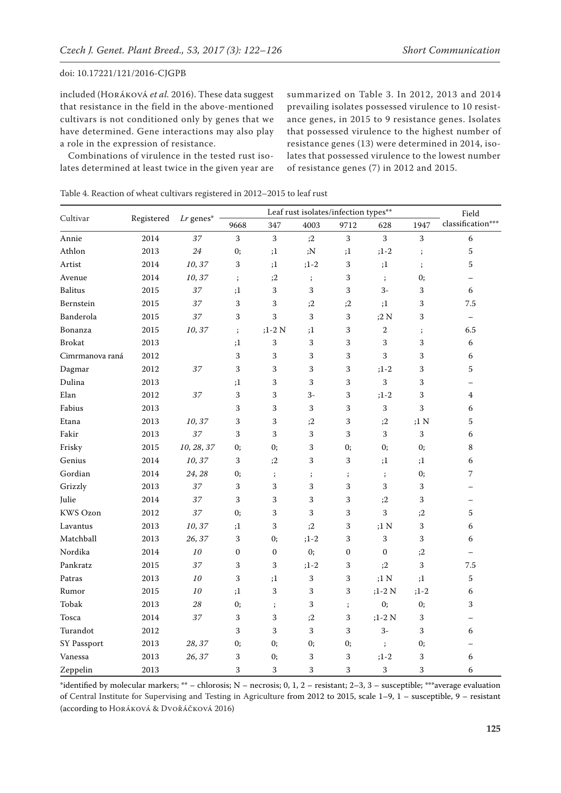included (Horáková *et al.* 2016). These data suggest that resistance in the field in the above-mentioned cultivars is not conditioned only by genes that we have determined. Gene interactions may also play a role in the expression of resistance.

Combinations of virulence in the tested rust isolates determined at least twice in the given year are summarized on Table 3. In 2012, 2013 and 2014 prevailing isolates possessed virulence to 10 resistance genes, in 2015 to 9 resistance genes. Isolates that possessed virulence to the highest number of resistance genes (13) were determined in 2014, isolates that possessed virulence to the lowest number of resistance genes (7) in 2012 and 2015.

| Table 4. Reaction of wheat cultivars registered in 2012-2015 to leaf rust |  |
|---------------------------------------------------------------------------|--|
|---------------------------------------------------------------------------|--|

|                 | Registered | $Lr$ genes* | Leaf rust isolates/infection types** |                  |          |              |                  | Field      |                          |
|-----------------|------------|-------------|--------------------------------------|------------------|----------|--------------|------------------|------------|--------------------------|
| Cultivar        |            |             | 9668                                 | 347              | 4003     | 9712         | 628              | 1947       | classification***        |
| Annie           | 2014       | 37          | $\mathbf{3}$                         | $\mathbf{3}$     | ;2       | 3            | 3                | 3          | 6                        |
| Athlon          | 2013       | 24          | 0;                                   | ;1               | ;N       | ;1           | $;1-2$           | $\cdot$    | 5                        |
| Artist          | 2014       | 10,37       | $\sqrt{3}$                           | ;1               | $;1-2$   | $\,$ 3 $\,$  | ;1               | $\vdots$   | 5                        |
| Avenue          | 2014       | 10,37       | $\ddot{\phantom{0}}$                 | ;2               | $\vdots$ | 3            | $\mathbf{.}$     | 0;         | $\overline{\phantom{0}}$ |
| <b>Balitus</b>  | 2015       | 37          | ;1                                   | 3                | 3        | 3            | $3-$             | 3          | 6                        |
| Bernstein       | 2015       | 37          | 3                                    | 3                | ;2       | ;2           | ;1               | 3          | 7.5                      |
| Banderola       | 2015       | 37          | $\sqrt{3}$                           | 3                | 3        | 3            | ;2 N             | 3          | $\overline{\phantom{0}}$ |
| Bonanza         | 2015       | 10,37       | $\ddot{\phantom{0}}$                 | $;1-2 N$         | ;1       | 3            | $\,2$            | $\ddot{i}$ | 6.5                      |
| <b>Brokat</b>   | 2013       |             | ;1                                   | 3                | 3        | 3            | 3                | 3          | 6                        |
| Cimrmanova raná | 2012       |             | $\mathbf{3}$                         | 3                | 3        | 3            | 3                | 3          | 6                        |
| Dagmar          | 2012       | 37          | $\mathbf{3}$                         | 3                | 3        | 3            | $;1-2$           | 3          | 5                        |
| Dulina          | 2013       |             | ;1                                   | 3                | 3        | 3            | 3                | 3          | $\equiv$                 |
| Elan            | 2012       | 37          | $\sqrt{3}$                           | 3                | $3-$     | 3            | $;1-2$           | 3          | $\overline{4}$           |
| Fabius          | 2013       |             | $\,3$                                | 3                | 3        | 3            | $\sqrt{3}$       | 3          | 6                        |
| Etana           | 2013       | 10,37       | 3                                    | 3                | ;2       | 3            | ;2               | ;1 N       | 5                        |
| Fakir           | 2013       | 37          | $\sqrt{3}$                           | 3                | 3        | 3            | 3                | 3          | 6                        |
| Frisky          | 2015       | 10, 28, 37  | 0;                                   | 0;               | 3        | 0;           | 0;               | 0;         | $\,8\,$                  |
| Genius          | 2014       | 10,37       | 3                                    | ;2               | 3        | 3            | ;1               | ;1         | 6                        |
| Gordian         | 2014       | 24, 28      | 0;                                   | $\cdot$          | $\vdots$ | $\vdots$     | $\ddot{i}$       | 0;         | 7                        |
| Grizzly         | 2013       | 37          | $\sqrt{3}$                           | 3                | 3        | 3            | 3                | 3          | $\overline{\phantom{0}}$ |
| Julie           | 2014       | 37          | $\mathbf{3}$                         | 3                | 3        | 3            | ;2               | 3          | $\overline{\phantom{0}}$ |
| <b>KWS</b> Ozon | 2012       | 37          | 0;                                   | 3                | 3        | 3            | 3                | ;2         | 5                        |
| Lavantus        | 2013       | 10,37       | ;1                                   | 3                | ;2       | 3            | ;1 N             | 3          | 6                        |
| Matchball       | 2013       | 26, 37      | $\mathbf{3}$                         | 0;               | $:1-2$   | 3            | 3                | 3          | 6                        |
| Nordika         | 2014       | 10          | $\boldsymbol{0}$                     | $\boldsymbol{0}$ | 0;       | $\mathbf{0}$ | $\boldsymbol{0}$ | ;2         | $\overline{\phantom{0}}$ |
| Pankratz        | 2015       | 37          | 3                                    | 3                | $;1-2$   | 3            | ;2               | 3          | 7.5                      |
| Patras          | 2013       | 10          | $\sqrt{3}$                           | ;1               | 3        | 3            | ;1 N             | ;1         | $\overline{5}$           |
| Rumor           | 2015       | 10          | ;1                                   | $\sqrt{3}$       | 3        | 3            | $;1-2 N$         | $;1-2$     | 6                        |
| Tobak           | 2013       | 28          | 0;                                   | $\colon$         | 3        | $\vdots$     | 0;               | 0;         | 3                        |
| Tosca           | 2014       | 37          | 3                                    | 3                | ;2       | 3            | $;1-2 N$         | 3          | $\overline{\phantom{0}}$ |
| Turandot        | 2012       |             | 3                                    | 3                | 3        | 3            | $3-$             | 3          | 6                        |
| SY Passport     | 2013       | 28, 37      | 0;                                   | 0;               | 0;       | 0;           | $\vdots$         | 0;         | $\overline{\phantom{0}}$ |
| Vanessa         | 2013       | 26, 37      | $\sqrt{3}$                           | 0;               | 3        | 3            | $;1-2$           | 3          | 6                        |
| Zeppelin        | 2013       |             | 3                                    | 3                | 3        | 3            | 3                | 3          | 6                        |

\*identified by molecular markers; \*\* – chlorosis; N – necrosis; 0, 1, 2 – resistant; 2–3, 3 – susceptible; \*\*\*average evaluation of Central Institute for Supervising and Testing in Agriculture from 2012 to 2015, scale 1–9, 1 – susceptible, 9 – resistant (according to Horáková & Dvořáčková 2016)